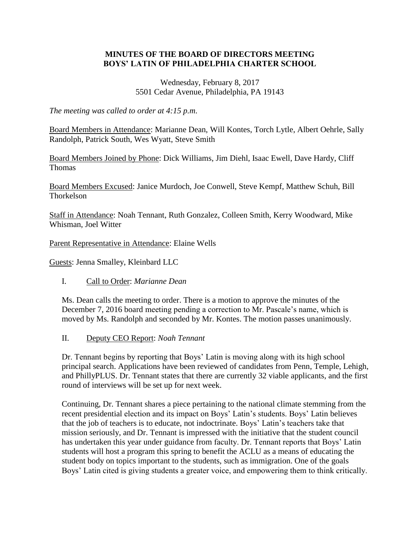## **MINUTES OF THE BOARD OF DIRECTORS MEETING BOYS' LATIN OF PHILADELPHIA CHARTER SCHOOL**

Wednesday, February 8, 2017 5501 Cedar Avenue, Philadelphia, PA 19143

*The meeting was called to order at 4:15 p.m*.

Board Members in Attendance: Marianne Dean, Will Kontes, Torch Lytle, Albert Oehrle, Sally Randolph, Patrick South, Wes Wyatt, Steve Smith

Board Members Joined by Phone: Dick Williams, Jim Diehl, Isaac Ewell, Dave Hardy, Cliff Thomas

Board Members Excused: Janice Murdoch, Joe Conwell, Steve Kempf, Matthew Schuh, Bill **Thorkelson** 

Staff in Attendance: Noah Tennant, Ruth Gonzalez, Colleen Smith, Kerry Woodward, Mike Whisman, Joel Witter

Parent Representative in Attendance: Elaine Wells

Guests: Jenna Smalley, Kleinbard LLC

I. Call to Order: *Marianne Dean*

Ms. Dean calls the meeting to order. There is a motion to approve the minutes of the December 7, 2016 board meeting pending a correction to Mr. Pascale's name, which is moved by Ms. Randolph and seconded by Mr. Kontes. The motion passes unanimously.

II. Deputy CEO Report: *Noah Tennant*

Dr. Tennant begins by reporting that Boys' Latin is moving along with its high school principal search. Applications have been reviewed of candidates from Penn, Temple, Lehigh, and PhillyPLUS. Dr. Tennant states that there are currently 32 viable applicants, and the first round of interviews will be set up for next week.

Continuing, Dr. Tennant shares a piece pertaining to the national climate stemming from the recent presidential election and its impact on Boys' Latin's students. Boys' Latin believes that the job of teachers is to educate, not indoctrinate. Boys' Latin's teachers take that mission seriously, and Dr. Tennant is impressed with the initiative that the student council has undertaken this year under guidance from faculty. Dr. Tennant reports that Boys' Latin students will host a program this spring to benefit the ACLU as a means of educating the student body on topics important to the students, such as immigration. One of the goals Boys' Latin cited is giving students a greater voice, and empowering them to think critically.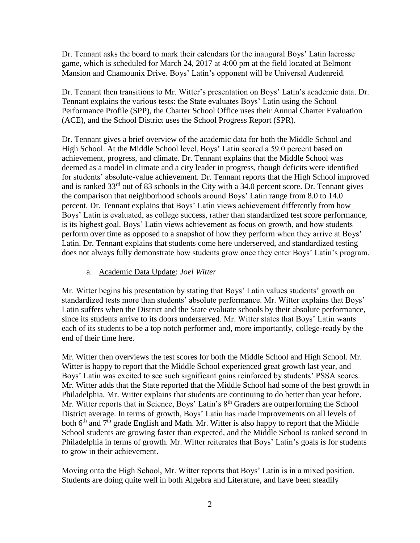Dr. Tennant asks the board to mark their calendars for the inaugural Boys' Latin lacrosse game, which is scheduled for March 24, 2017 at 4:00 pm at the field located at Belmont Mansion and Chamounix Drive. Boys' Latin's opponent will be Universal Audenreid.

Dr. Tennant then transitions to Mr. Witter's presentation on Boys' Latin's academic data. Dr. Tennant explains the various tests: the State evaluates Boys' Latin using the School Performance Profile (SPP), the Charter School Office uses their Annual Charter Evaluation (ACE), and the School District uses the School Progress Report (SPR).

Dr. Tennant gives a brief overview of the academic data for both the Middle School and High School. At the Middle School level, Boys' Latin scored a 59.0 percent based on achievement, progress, and climate. Dr. Tennant explains that the Middle School was deemed as a model in climate and a city leader in progress, though deficits were identified for students' absolute-value achievement. Dr. Tennant reports that the High School improved and is ranked  $33<sup>rd</sup>$  out of 83 schools in the City with a 34.0 percent score. Dr. Tennant gives the comparison that neighborhood schools around Boys' Latin range from 8.0 to 14.0 percent. Dr. Tennant explains that Boys' Latin views achievement differently from how Boys' Latin is evaluated, as college success, rather than standardized test score performance, is its highest goal. Boys' Latin views achievement as focus on growth, and how students perform over time as opposed to a snapshot of how they perform when they arrive at Boys' Latin. Dr. Tennant explains that students come here underserved, and standardized testing does not always fully demonstrate how students grow once they enter Boys' Latin's program.

## a. Academic Data Update: *Joel Witter*

Mr. Witter begins his presentation by stating that Boys' Latin values students' growth on standardized tests more than students' absolute performance. Mr. Witter explains that Boys' Latin suffers when the District and the State evaluate schools by their absolute performance, since its students arrive to its doors underserved. Mr. Witter states that Boys' Latin wants each of its students to be a top notch performer and, more importantly, college-ready by the end of their time here.

Mr. Witter then overviews the test scores for both the Middle School and High School. Mr. Witter is happy to report that the Middle School experienced great growth last year, and Boys' Latin was excited to see such significant gains reinforced by students' PSSA scores. Mr. Witter adds that the State reported that the Middle School had some of the best growth in Philadelphia. Mr. Witter explains that students are continuing to do better than year before. Mr. Witter reports that in Science, Boys' Latin's 8<sup>th</sup> Graders are outperforming the School District average. In terms of growth, Boys' Latin has made improvements on all levels of both  $6<sup>th</sup>$  and  $7<sup>th</sup>$  grade English and Math. Mr. Witter is also happy to report that the Middle School students are growing faster than expected, and the Middle School is ranked second in Philadelphia in terms of growth. Mr. Witter reiterates that Boys' Latin's goals is for students to grow in their achievement.

Moving onto the High School, Mr. Witter reports that Boys' Latin is in a mixed position. Students are doing quite well in both Algebra and Literature, and have been steadily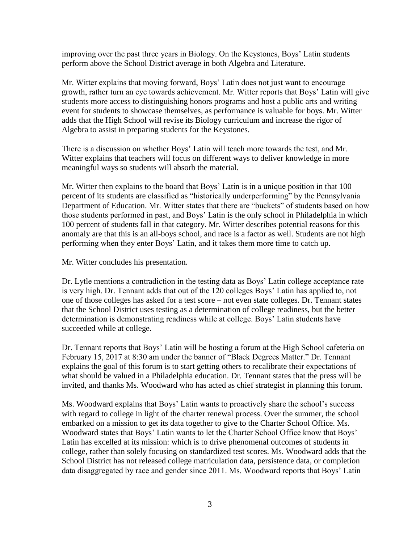improving over the past three years in Biology. On the Keystones, Boys' Latin students perform above the School District average in both Algebra and Literature.

Mr. Witter explains that moving forward, Boys' Latin does not just want to encourage growth, rather turn an eye towards achievement. Mr. Witter reports that Boys' Latin will give students more access to distinguishing honors programs and host a public arts and writing event for students to showcase themselves, as performance is valuable for boys. Mr. Witter adds that the High School will revise its Biology curriculum and increase the rigor of Algebra to assist in preparing students for the Keystones.

There is a discussion on whether Boys' Latin will teach more towards the test, and Mr. Witter explains that teachers will focus on different ways to deliver knowledge in more meaningful ways so students will absorb the material.

Mr. Witter then explains to the board that Boys' Latin is in a unique position in that 100 percent of its students are classified as "historically underperforming" by the Pennsylvania Department of Education. Mr. Witter states that there are "buckets" of students based on how those students performed in past, and Boys' Latin is the only school in Philadelphia in which 100 percent of students fall in that category. Mr. Witter describes potential reasons for this anomaly are that this is an all-boys school, and race is a factor as well. Students are not high performing when they enter Boys' Latin, and it takes them more time to catch up.

Mr. Witter concludes his presentation.

Dr. Lytle mentions a contradiction in the testing data as Boys' Latin college acceptance rate is very high. Dr. Tennant adds that out of the 120 colleges Boys' Latin has applied to, not one of those colleges has asked for a test score – not even state colleges. Dr. Tennant states that the School District uses testing as a determination of college readiness, but the better determination is demonstrating readiness while at college. Boys' Latin students have succeeded while at college.

Dr. Tennant reports that Boys' Latin will be hosting a forum at the High School cafeteria on February 15, 2017 at 8:30 am under the banner of "Black Degrees Matter." Dr. Tennant explains the goal of this forum is to start getting others to recalibrate their expectations of what should be valued in a Philadelphia education. Dr. Tennant states that the press will be invited, and thanks Ms. Woodward who has acted as chief strategist in planning this forum.

Ms. Woodward explains that Boys' Latin wants to proactively share the school's success with regard to college in light of the charter renewal process. Over the summer, the school embarked on a mission to get its data together to give to the Charter School Office. Ms. Woodward states that Boys' Latin wants to let the Charter School Office know that Boys' Latin has excelled at its mission: which is to drive phenomenal outcomes of students in college, rather than solely focusing on standardized test scores. Ms. Woodward adds that the School District has not released college matriculation data, persistence data, or completion data disaggregated by race and gender since 2011. Ms. Woodward reports that Boys' Latin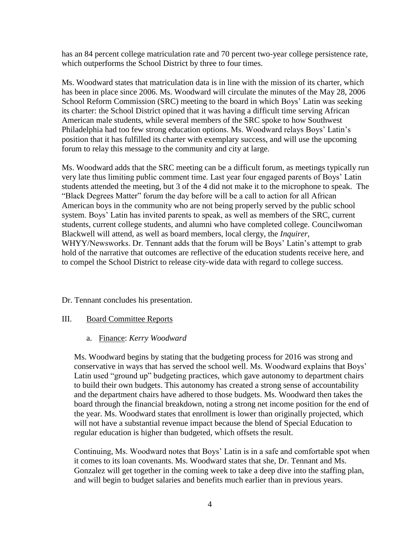has an 84 percent college matriculation rate and 70 percent two-year college persistence rate, which outperforms the School District by three to four times.

Ms. Woodward states that matriculation data is in line with the mission of its charter, which has been in place since 2006. Ms. Woodward will circulate the minutes of the May 28, 2006 School Reform Commission (SRC) meeting to the board in which Boys' Latin was seeking its charter: the School District opined that it was having a difficult time serving African American male students, while several members of the SRC spoke to how Southwest Philadelphia had too few strong education options. Ms. Woodward relays Boys' Latin's position that it has fulfilled its charter with exemplary success, and will use the upcoming forum to relay this message to the community and city at large.

Ms. Woodward adds that the SRC meeting can be a difficult forum, as meetings typically run very late thus limiting public comment time. Last year four engaged parents of Boys' Latin students attended the meeting, but 3 of the 4 did not make it to the microphone to speak. The "Black Degrees Matter" forum the day before will be a call to action for all African American boys in the community who are not being properly served by the public school system. Boys' Latin has invited parents to speak, as well as members of the SRC, current students, current college students, and alumni who have completed college. Councilwoman Blackwell will attend, as well as board members, local clergy, the *Inquirer*, WHYY/Newsworks. Dr. Tennant adds that the forum will be Boys' Latin's attempt to grab hold of the narrative that outcomes are reflective of the education students receive here, and to compel the School District to release city-wide data with regard to college success.

Dr. Tennant concludes his presentation.

## III. Board Committee Reports

## a. Finance: *Kerry Woodward*

Ms. Woodward begins by stating that the budgeting process for 2016 was strong and conservative in ways that has served the school well. Ms. Woodward explains that Boys' Latin used "ground up" budgeting practices, which gave autonomy to department chairs to build their own budgets. This autonomy has created a strong sense of accountability and the department chairs have adhered to those budgets. Ms. Woodward then takes the board through the financial breakdown, noting a strong net income position for the end of the year. Ms. Woodward states that enrollment is lower than originally projected, which will not have a substantial revenue impact because the blend of Special Education to regular education is higher than budgeted, which offsets the result.

Continuing, Ms. Woodward notes that Boys' Latin is in a safe and comfortable spot when it comes to its loan covenants. Ms. Woodward states that she, Dr. Tennant and Ms. Gonzalez will get together in the coming week to take a deep dive into the staffing plan, and will begin to budget salaries and benefits much earlier than in previous years.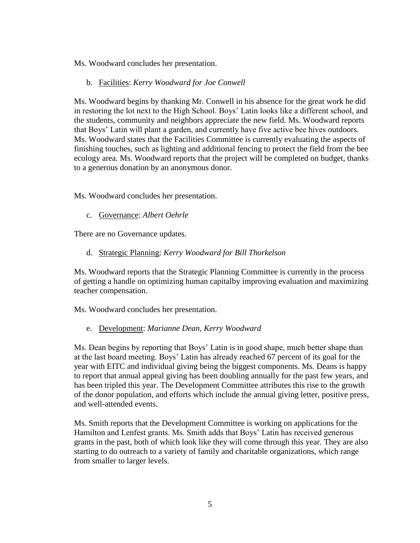Ms. Woodward concludes her presentation.

b. Facilities: *Kerry Woodward for Joe Conwell*

Ms. Woodward begins by thanking Mr. Conwell in his absence for the great work he did in restoring the lot next to the High School. Boys' Latin looks like a different school, and the students, community and neighbors appreciate the new field. Ms. Woodward reports that Boys' Latin will plant a garden, and currently have five active bee hives outdoors. Ms. Woodward states that the Facilities Committee is currently evaluating the aspects of finishing touches, such as lighting and additional fencing to protect the field from the bee ecology area. Ms. Woodward reports that the project will be completed on budget, thanks to a generous donation by an anonymous donor.

Ms. Woodward concludes her presentation.

c. Governance: *Albert Oehrle*

There are no Governance updates.

d. Strategic Planning: *Kerry Woodward for Bill Thorkelson*

Ms. Woodward reports that the Strategic Planning Committee is currently in the process of getting a handle on optimizing human capitalby improving evaluation and maximizing teacher compensation.

Ms. Woodward concludes her presentation.

e. Development: *Marianne Dean, Kerry Woodward*

Ms. Dean begins by reporting that Boys' Latin is in good shape, much better shape than at the last board meeting. Boys' Latin has already reached 67 percent of its goal for the year with EITC and individual giving being the biggest components. Ms. Deans is happy to report that annual appeal giving has been doubling annually for the past few years, and has been tripled this year. The Development Committee attributes this rise to the growth of the donor population, and efforts which include the annual giving letter, positive press, and well-attended events.

Ms. Smith reports that the Development Committee is working on applications for the Hamilton and Lenfest grants. Ms. Smith adds that Boys' Latin has received generous grants in the past, both of which look like they will come through this year. They are also starting to do outreach to a variety of family and charitable organizations, which range from smaller to larger levels.